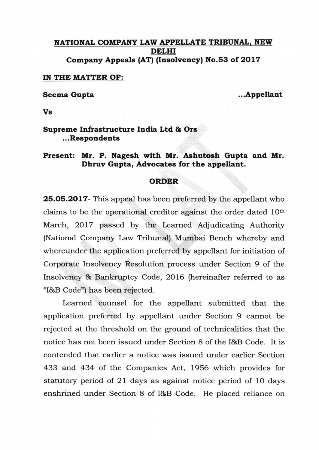## **NATIONAL COMPANY LAW APPELLATE TRIBUNAL, NEW DELHI Company Appeals (AT) (Insolvency) No.53 of 2017**

**IN THE MATTER OF:** 

Seema Gupta **...** Appellant

**Vs** 

## **Supreme Infrastructure India Ltd & Ors .Respondents**

## **Present: Mr. P. Nagesh with Mr. Ashutosh Gupta and Mr. Dhruv Gupta, Advocates for the appellant.**

## **ORDER**

**25.05.2017-** This appeal has been preferred by the appellant who claims to be the operational creditor against the order dated 10th March, 2017 passed by the Learned Adjudicating Authority (National Company Law Tribunal) Mumbai Bench whereby and whereunder the application preferred by appellant for initiation of Corporate Insolvency Resolution process under Section 9 of the Insolvency & Bankruptcy Code, 2016 (hereinafter referred to as "I&B Code") has been rejected.

Learned counsel for the appellant submitted that the application preferred by appellant under Section 9 cannot be rejected at the threshold on the ground of technicalities that the notice has not been issued under Section 8 of the I&B Code. It is contended that earlier a notice was issued under earlier Section 433 and 434 of the Companies Act, 1956 which provides for statutory period of 21 days as against notice period of 10 days enshrined under Section 8 of I&B Code. He placed reliance on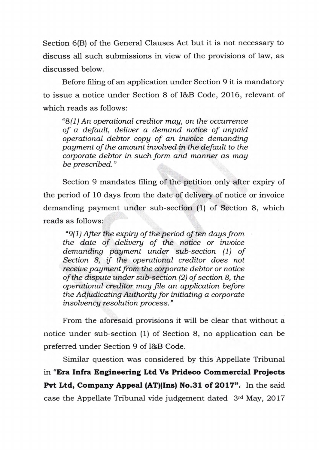Section 6(B) of the General Clauses Act but it is not necessary to discuss all such submissions in view of the provisions of law, as discussed below.

Before filing of an application under Section 9 it is mandatory to issue a notice under Section 8 of I&B Code, 2016, relevant of which reads as follows:

*"8(1) An operational creditor may, on the occurrence of a default, deliver a demand notice of unpaid operational debtor copy of an invoice demanding payment of the amount involved in the default to the corporate debtor in such form and manner as may be prescribed."* 

Section 9 mandates filing of the petition only after expiry of the period of 10 days from the date of delivery of notice or invoice demanding payment under sub-section (1) of Section 8, which reads as follows:

*"9(1) After the expiry of the period often days from the date of delivery of the notice or invoice demanding payment under sub-section (1) of Section 8, if the operational creditor does not receive payment from the corporate debtor or notice of the dispute under sub-section (2) of section 8, the operational creditor may file an application before the Adjudicating Authority for initiating a corporate insolvency resolution process."* 

From the aforesaid provisions it will be clear that without a notice under sub-section (1) of Section 8, no application can be preferred under Section 9 of I&B Code.

Similar question was considered by this Appellate Tribunal **in "Era Infra Engineering Ltd Vs Prideco Commercial Projects**  Pvt Ltd, Company Appeal (AT)(Ins) No.31 of 2017". In the said case the Appellate Tribunal vide judgement dated 3rd May, 2017